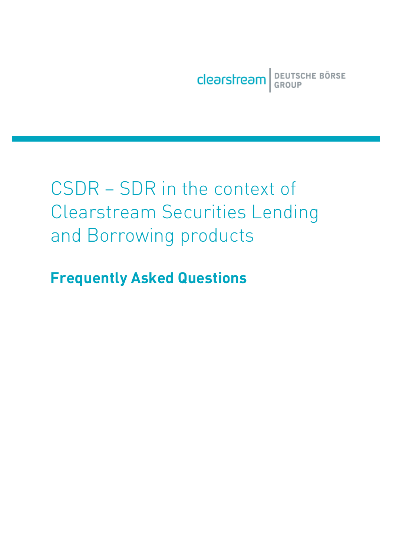Clearstream BEUTSCHE BÖRSE

## CSDR – SDR in the context of Clearstream Securities Lending and Borrowing products

**Frequently Asked Questions**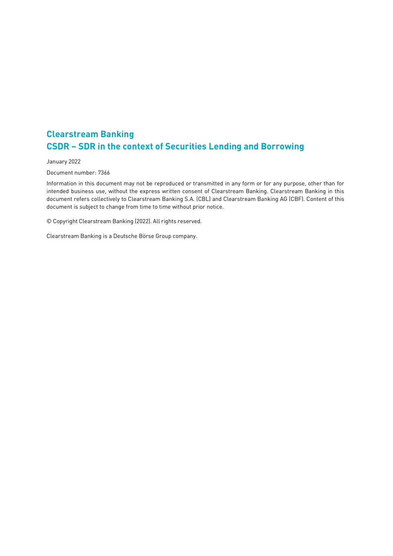## **Clearstream Banking CSDR – SDR in the context of Securities Lending and Borrowing**

January 2022

Document number: 7366

Information in this document may not be reproduced or transmitted in any form or for any purpose, other than for intended business use, without the express written consent of Clearstream Banking. Clearstream Banking in this document refers collectively to Clearstream Banking S.A. (CBL) and Clearstream Banking AG (CBF). Content of this document is subject to change from time to time without prior notice.

© Copyright Clearstream Banking (2022). All rights reserved.

Clearstream Banking is a Deutsche Börse Group company.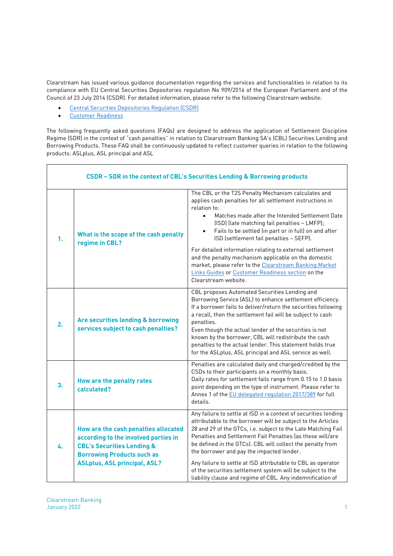Clearstream has issued various guidance documentation regarding the services and functionalities in relation to its compliance with EU Central Securities Depositories regulation No 909/2014 of the European Parliament and of the Council of 23 July 2014 (CSDR). For detailed information, please refer to the following Clearstream website:

- · Central Securities Depositories Regulation (CSDR)
- · Customer Readiness

The following frequently asked questions (FAQs) are designed to address the application of Settlement Discipline Regime (SDR) in the context of "cash penalties" in relation to Clearstream Banking SA's (CBL) Securities Lending and Borrowing Products. These FAQ shall be continuously updated to reflect customer queries in relation to the following products: ASLplus, ASL principal and ASL

| CSDR - SDR in the context of CBL's Securities Lending & Borrowing products |                                                                                                                                                                                                   |                                                                                                                                                                                                                                                                                                                                                                                                                                                                                                                                                                       |  |  |
|----------------------------------------------------------------------------|---------------------------------------------------------------------------------------------------------------------------------------------------------------------------------------------------|-----------------------------------------------------------------------------------------------------------------------------------------------------------------------------------------------------------------------------------------------------------------------------------------------------------------------------------------------------------------------------------------------------------------------------------------------------------------------------------------------------------------------------------------------------------------------|--|--|
| 1.                                                                         | What is the scope of the cash penalty<br>regime in CBL?                                                                                                                                           | The CBL or the T2S Penalty Mechanism calculates and<br>applies cash penalties for all settlement instructions in<br>relation to:<br>Matches made after the Intended Settlement Date<br>$\bullet$<br>(ISD) (late matching fail penalties - LMFP);<br>Fails to be settled (in part or in full) on and after<br>$\bullet$<br>ISD (settlement fail penalties - SEFP).                                                                                                                                                                                                     |  |  |
|                                                                            |                                                                                                                                                                                                   | For detailed information relating to external settlement<br>and the penalty mechanism applicable on the domestic<br>market, please refer to the Clearstream Banking Market<br>Links Guides or Customer Readiness section on the<br>Clearstream website.                                                                                                                                                                                                                                                                                                               |  |  |
| 2.                                                                         | Are securities lending & borrowing<br>services subject to cash penalties?                                                                                                                         | CBL proposes Automated Securities Lending and<br>Borrowing Service (ASL) to enhance settlement efficiency.<br>If a borrower fails to deliver/return the securities following<br>a recall, then the settlement fail will be subject to cash<br>penalties.<br>Even though the actual lender of the securities is not<br>known by the borrower, CBL will redistribute the cash<br>penalties to the actual lender. This statement holds true<br>for the ASLplus, ASL principal and ASL service as well.                                                                   |  |  |
| 3.                                                                         | How are the penalty rates<br>calculated?                                                                                                                                                          | Penalties are calculated daily and charged/credited by the<br>CSDs to their participants on a monthly basis.<br>Daily rates for settlement fails range from 0.15 to 1.0 basis<br>point depending on the type of instrument. Please refer to<br>Annex 1 of the EU delegated regulation 2017/389 for full<br>details.                                                                                                                                                                                                                                                   |  |  |
| 4.                                                                         | How are the cash penalties allocated<br>according to the involved parties in<br><b>CBL's Securities Lending &amp;</b><br><b>Borrowing Products such as</b><br><b>ASLplus, ASL principal, ASL?</b> | Any failure to settle at ISD in a context of securities lending<br>attributable to the borrower will be subject to the Articles<br>28 and 29 of the GTCs, i.e. subject to the Late Matching Fail<br>Penalties and Settlement Fail Penalties (as these will/are<br>be defined in the GTCs). CBL will collect the penalty from<br>the borrower and pay the impacted lender.<br>Any failure to settle at ISD attributable to CBL as operator<br>of the securities settlement system will be subject to the<br>liability clause and regime of CBL. Any indemnification of |  |  |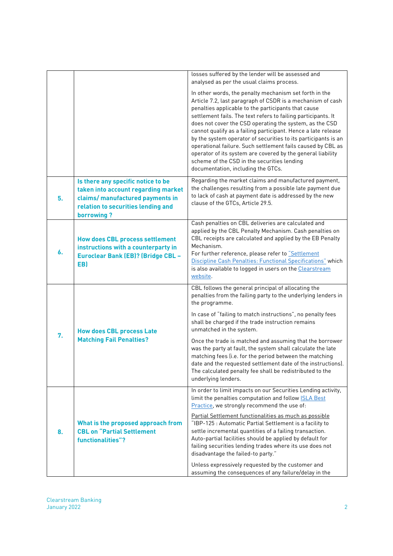|    |                                                                                                                                                                   | losses suffered by the lender will be assessed and<br>analysed as per the usual claims process.                                                                                                                                                                                                                                                                                                                                                                                                                                                                                                                                                               |
|----|-------------------------------------------------------------------------------------------------------------------------------------------------------------------|---------------------------------------------------------------------------------------------------------------------------------------------------------------------------------------------------------------------------------------------------------------------------------------------------------------------------------------------------------------------------------------------------------------------------------------------------------------------------------------------------------------------------------------------------------------------------------------------------------------------------------------------------------------|
|    |                                                                                                                                                                   | In other words, the penalty mechanism set forth in the<br>Article 7.2, last paragraph of CSDR is a mechanism of cash<br>penalties applicable to the participants that cause<br>settlement fails. The text refers to failing participants. It<br>does not cover the CSD operating the system, as the CSD<br>cannot qualify as a failing participant. Hence a late release<br>by the system operator of securities to its participants is an<br>operational failure. Such settlement fails caused by CBL as<br>operator of its system are covered by the general liability<br>scheme of the CSD in the securities lending<br>documentation, including the GTCs. |
| 5. | Is there any specific notice to be<br>taken into account regarding market<br>claims/ manufactured payments in<br>relation to securities lending and<br>borrowing? | Regarding the market claims and manufactured payment,<br>the challenges resulting from a possible late payment due<br>to lack of cash at payment date is addressed by the new<br>clause of the GTCs, Article 29.5.                                                                                                                                                                                                                                                                                                                                                                                                                                            |
| 6. | <b>How does CBL process settlement</b><br>instructions with a counterparty in<br><b>Euroclear Bank (EB)? (Bridge CBL -</b><br>EB)                                 | Cash penalties on CBL deliveries are calculated and<br>applied by the CBL Penalty Mechanism. Cash penalties on<br>CBL receipts are calculated and applied by the EB Penalty<br>Mechanism.<br>For further reference, please refer to "Settlement<br>Discipline Cash Penalties: Functional Specifications" which<br>is also available to logged in users on the Clearstream<br>website.                                                                                                                                                                                                                                                                         |
| 7. | <b>How does CBL process Late</b><br><b>Matching Fail Penalties?</b>                                                                                               | CBL follows the general principal of allocating the<br>penalties from the failing party to the underlying lenders in<br>the programme.<br>In case of "failing to match instructions", no penalty fees<br>shall be charged if the trade instruction remains<br>unmatched in the system.<br>Once the trade is matched and assuming that the borrower<br>was the party at fault, the system shall calculate the late<br>matching fees (i.e. for the period between the matching<br>date and the requested settlement date of the instructions).<br>The calculated penalty fee shall be redistributed to the<br>underlying lenders.                               |
| 8. | What is the proposed approach from<br><b>CBL on "Partial Settlement</b><br>functionalities"?                                                                      | In order to limit impacts on our Securities Lending activity,<br>limit the penalties computation and follow <b>SLA Best</b><br>Practice, we strongly recommend the use of:<br>Partial Settlement functionalities as much as possible<br>"IBP-125 : Automatic Partial Settlement is a facility to<br>settle incremental quantities of a failing transaction.<br>Auto-partial facilities should be applied by default for<br>failing securities lending trades where its use does not<br>disadvantage the failed-to party."<br>Unless expressively requested by the customer and<br>assuming the consequences of any failure/delay in the                       |